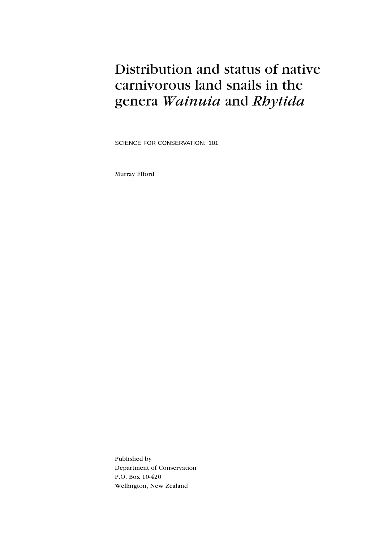## Distribution and status of native carnivorous land snails in the genera Wainuia and Rhytida

SCIENCE FOR CONSERVATION: 101

Murray Efford

Published by Department of Conservation P.O. Box 10-420 Wellington, New Zealand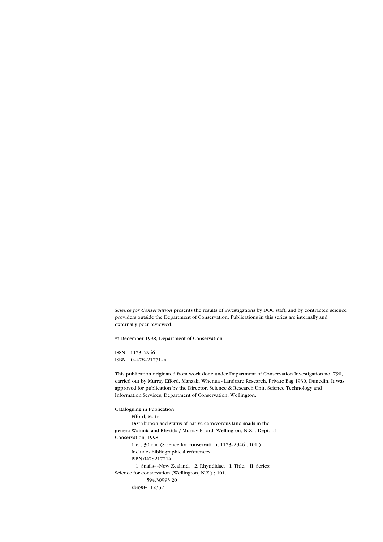Science for Conservation presents the results of investigations by DOC staff, and by contracted science providers outside the Department of Conservation. Publications in this series are internally and externally peer reviewed.

© December 1998, Department of Conservation

ISSN 1173-2946 ISBN  $0-478-21771-4$ 

This publication originated from work done under Department of Conservation Investigation no. 790, carried out by Murray Efford, Manaaki Whenua - Landcare Research, Private Bag 1930, Dunedin. It was approved for publication by the Director, Science & Research Unit, Science Technology and Information Services, Department of Conservation, Wellington.

Cataloguing in Publication Efford, M. G. Distribution and status of native carnivorous land snails in the genera Wainuia and Rhytida / Murray Efford. Wellington, N.Z. : Dept. of Conservation, 1998. 1 v. ; 30 cm. (Science for conservation, 1173-2946 ; 101.) Includes bibliographical references. ISBN 0478217714 1. Snails--New Zealand. 2. Rhytididae. I. Title. II. Series: Science for conservation (Wellington, N.Z.) ; 101. 594.30993 20 zbn98-112337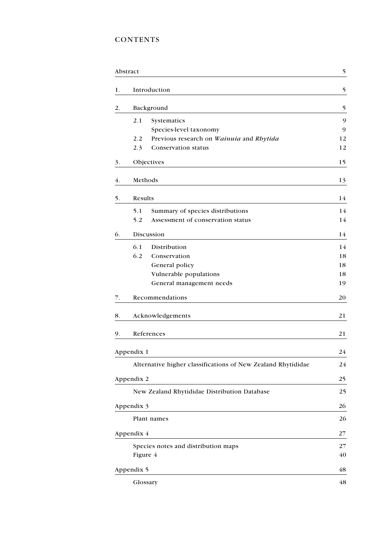### CONTENTS

|    | Abstract                                        |                                                              | 5  |
|----|-------------------------------------------------|--------------------------------------------------------------|----|
| 1. | Introduction                                    |                                                              | 5  |
| 2. | Background                                      |                                                              | 5  |
|    | 2.1<br>Systematics                              |                                                              | 9  |
|    | Species-level taxonomy                          |                                                              | 9  |
|    | Previous research on Wainuia and Rhytida<br>2.2 |                                                              | 12 |
|    | <b>Conservation status</b><br>2.3               |                                                              | 12 |
| 3. | Objectives                                      |                                                              | 15 |
| 4. | Methods                                         |                                                              | 13 |
| 5. | Results                                         |                                                              | 14 |
|    | 5.1<br>Summary of species distributions         |                                                              | 14 |
|    | Assessment of conservation status<br>5.2        |                                                              | 14 |
| 6. | Discussion                                      |                                                              | 14 |
|    | 6.1<br>Distribution                             |                                                              | 14 |
|    | 6.2<br>Conservation                             |                                                              | 18 |
|    | General policy                                  |                                                              | 18 |
|    | Vulnerable populations                          |                                                              | 18 |
|    | General management needs                        |                                                              | 19 |
| 7. | Recommendations                                 |                                                              | 20 |
| 8. | Acknowledgements                                |                                                              | 21 |
| 9. | References                                      |                                                              | 21 |
|    | Appendix 1                                      |                                                              | 24 |
|    |                                                 | Alternative higher classifications of New Zealand Rhytididae | 24 |
|    | Appendix 2                                      |                                                              | 25 |
|    | New Zealand Rhytididae Distribution Database    |                                                              | 25 |
|    | Appendix 3                                      |                                                              | 26 |
|    | Plant names                                     |                                                              | 26 |
|    | Appendix 4                                      |                                                              | 27 |
|    | Species notes and distribution maps             |                                                              | 27 |
|    | Figure 4                                        |                                                              | 40 |
|    | Appendix 5                                      |                                                              | 48 |
|    | Glossary                                        |                                                              | 48 |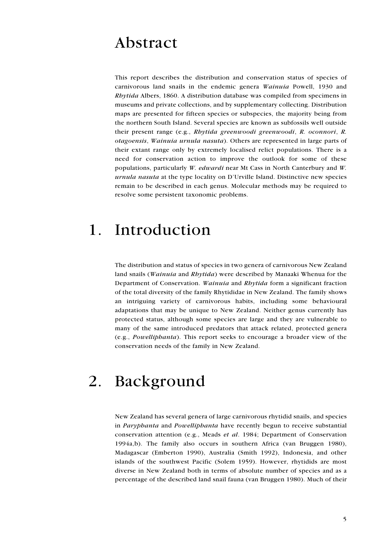## Abstract

This report describes the distribution and conservation status of species of carnivorous land snails in the endemic genera Wainuia Powell, 1930 and Rhytida Albers, 1860. A distribution database was compiled from specimens in museums and private collections, and by supplementary collecting. Distribution maps are presented for fifteen species or subspecies, the majority being from the northern South Island. Several species are known as subfossils well outside their present range (e.g., Rhytida greenwoodi greenwoodi, R. oconnori, R. otagoensis, Wainuia urnula nasuta). Others are represented in large parts of their extant range only by extremely localised relict populations. There is a need for conservation action to improve the outlook for some of these populations, particularly W. edwardi near Mt Cass in North Canterbury and W. urnula nasuta at the type locality on D'Urville Island. Distinctive new species remain to be described in each genus. Molecular methods may be required to resolve some persistent taxonomic problems.

### 1. Introduction

The distribution and status of species in two genera of carnivorous New Zealand land snails (Wainuia and Rhytida) were described by Manaaki Whenua for the Department of Conservation. Wainuia and Rhytida form a significant fraction of the total diversity of the family Rhytididae in New Zealand. The family shows an intriguing variety of carnivorous habits, including some behavioural adaptations that may be unique to New Zealand. Neither genus currently has protected status, although some species are large and they are vulnerable to many of the same introduced predators that attack related, protected genera (e.g., Powelliphanta). This report seeks to encourage a broader view of the conservation needs of the family in New Zealand.

## 2. Background

New Zealand has several genera of large carnivorous rhytidid snails, and species in Paryphanta and Powelliphanta have recently begun to receive substantial conservation attention (e.g., Meads et al. 1984; Department of Conservation 1994a,b). The family also occurs in southern Africa (van Bruggen 1980), Madagascar (Emberton 1990), Australia (Smith 1992), Indonesia, and other islands of the southwest Pacific (Solem 1959). However, rhytidids are most diverse in New Zealand both in terms of absolute number of species and as a percentage of the described land snail fauna (van Bruggen 1980). Much of their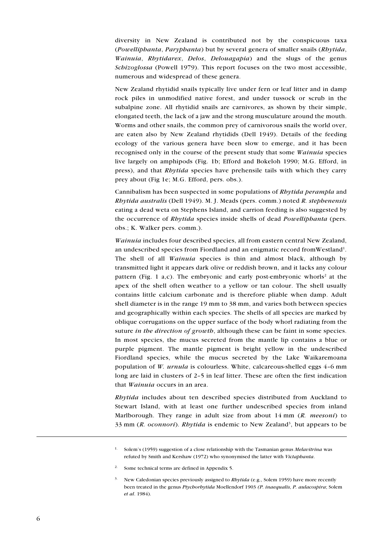diversity in New Zealand is contributed not by the conspicuous taxa (Powelliphanta, Paryphanta) but by several genera of smaller snails (Rhytida, Wainuia, Rhytidarex, Delos, Delouagapia) and the slugs of the genus Schizoglossa (Powell 1979). This report focuses on the two most accessible, numerous and widespread of these genera.

New Zealand rhytidid snails typically live under fern or leaf litter and in damp rock piles in unmodified native forest, and under tussock or scrub in the subalpine zone. All rhytidid snails are carnivores, as shown by their simple, elongated teeth, the lack of a jaw and the strong musculature around the mouth. Worms and other snails, the common prey of carnivorous snails the world over, are eaten also by New Zealand rhytidids (Dell 1949). Details of the feeding ecology of the various genera have been slow to emerge, and it has been recognised only in the course of the present study that some Wainuia species live largely on amphipods (Fig. 1b; Efford and Bokeloh 1990; M.G. Efford, in press), and that Rhytida species have prehensile tails with which they carry prey about (Fig 1e; M.G. Efford, pers. obs.).

Cannibalism has been suspected in some populations of Rhytida perampla and Rhytida australis (Dell 1949). M. J. Meads (pers. comm.) noted R. stephenensis eating a dead weta on Stephens Island, and carrion feeding is also suggested by the occurrence of Rhytida species inside shells of dead *Powelliphanta* (pers. obs.; K. Walker pers. comm.).

Wainuia includes four described species, all from eastern central New Zealand, an undescribed species from Fiordland and an enigmatic record fromWestland<sup>1</sup>. The shell of all *Wainuia* species is thin and almost black, although by transmitted light it appears dark olive or reddish brown, and it lacks any colour pattern (Fig. 1 a,c). The embryonic and early post-embryonic whorls<sup>2</sup> at the apex of the shell often weather to a yellow or tan colour. The shell usually contains little calcium carbonate and is therefore pliable when damp. Adult shell diameter is in the range 19 mm to 38 mm, and varies both between species and geographically within each species. The shells of all species are marked by oblique corrugations on the upper surface of the body whorl radiating from the suture in the direction of growth, although these can be faint in some species. In most species, the mucus secreted from the mantle lip contains a blue or purple pigment. The mantle pigment is bright yellow in the undescribed Fiordland species, while the mucus secreted by the Lake Waikaremoana population of *W. urnula* is colourless. White, calcareous-shelled eggs  $4-6$  mm long are laid in clusters of 2-5 in leaf litter. These are often the first indication that *Wainuia* occurs in an area.

Rhytida includes about ten described species distributed from Auckland to Stewart Island, with at least one further undescribed species from inland Marlborough. They range in adult size from about  $14 \text{ mm}$  (R. meesoni) to 33 mm (R. oconnori). Rhytida is endemic to New Zealand<sup>3</sup>, but appears to be

2. Some technical terms are defined in Appendix 5.

<sup>&</sup>lt;sup>1.</sup> Solem's (1959) suggestion of a close relationship with the Tasmanian genus *Melavitrina* was refuted by Smith and Kershaw (1972) who synonymised the latter with Victaphanta.

<sup>&</sup>lt;sup>3.</sup> New Caledonian species previously assigned to *Rhytida* (e.g., Solem 1959) have more recently been treated in the genus Ptychorhytida Moellendorf 1903 (P. inaequalis, P. aulacospira; Solem et al. 1984).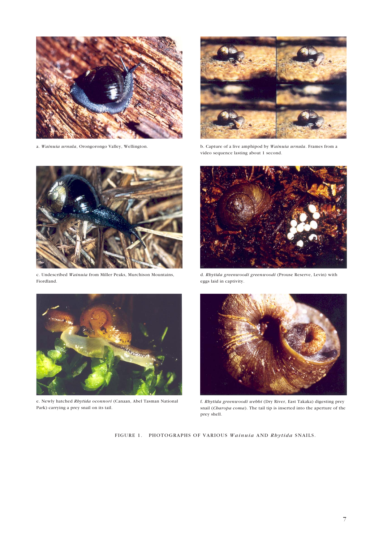



a. *Wainuia urnula*, Orongorongo Valley, Wellington. b. Capture of a live amphipod by *Wainuia urnula*. Frames from a video sequence lasting about 1 second.



c. Undescribed *Wainuia* from Miller Peaks, Murchison Mountains, Fiordland.



e. Newly hatched *Rhytida oconnori* (Canaan, Abel Tasman National Park) carrying a prey snail on its tail.



d. *Rhytida greenwoodi greenwoodi* (Prouse Reserve, Levin) with eggs laid in captivity.



f. *Rhytida greenwoodi webbi* (Dry River, East Takaka) digesting prey snail (*Charopa coma*). The tail tip is inserted into the aperture of the prey shell.

FIGURE 1. PHOTOGRAPHS OF VARIOUS *Wainuia* AND *Rhytida* SNAILS.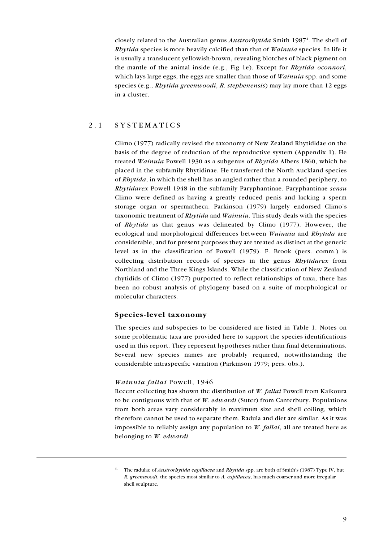closely related to the Australian genus Austrorbytida Smith 1987<sup>4</sup>. The shell of Rhytida species is more heavily calcified than that of Wainuia species. In life it is usually a translucent yellowish-brown, revealing blotches of black pigment on the mantle of the animal inside (e.g., Fig 1e). Except for  $Rbytida$  oconnori, which lays large eggs, the eggs are smaller than those of *Wainuia* spp. and some species (e.g., *Rhytida greenwoodi*, *R. stephenensis*) may lay more than 12 eggs in a cluster.

#### 2.1 SYSTEMATICS

Climo (1977) radically revised the taxonomy of New Zealand Rhytididae on the basis of the degree of reduction of the reproductive system (Appendix 1). He treated Wainuia Powell 1930 as a subgenus of Rhytida Albers 1860, which he placed in the subfamily Rhytidinae. He transferred the North Auckland species of Rhytida, in which the shell has an angled rather than a rounded periphery, to Rhytidarex Powell 1948 in the subfamily Paryphantinae. Paryphantinae sensu Climo were defined as having a greatly reduced penis and lacking a sperm storage organ or spermatheca. Parkinson (1979) largely endorsed Climo's taxonomic treatment of Rhytida and Wainuia. This study deals with the species of Rhytida as that genus was delineated by Climo (1977). However, the ecological and morphological differences between Wainuia and Rhytida are considerable, and for present purposes they are treated as distinct at the generic level as in the classification of Powell (1979). F. Brook (pers. comm.) is collecting distribution records of species in the genus Rhytidarex from Northland and the Three Kings Islands. While the classification of New Zealand rhytidids of Climo (1977) purported to reflect relationships of taxa, there has been no robust analysis of phylogeny based on a suite of morphological or molecular characters.

#### Species-level taxonomy

The species and subspecies to be considered are listed in Table 1. Notes on some problematic taxa are provided here to support the species identifications used in this report. They represent hypotheses rather than final determinations. Several new species names are probably required, notwithstanding the considerable intraspecific variation (Parkinson 1979; pers. obs.).

#### Wainuia fallai Powell, 1946

Recent collecting has shown the distribution of W. fallai Powell from Kaikoura to be contiguous with that of W. edwardi (Suter) from Canterbury. Populations from both areas vary considerably in maximum size and shell coiling, which therefore cannot be used to separate them. Radula and diet are similar. As it was impossible to reliably assign any population to  $W$ . *fallai*, all are treated here as belonging to W. edwardi.

<sup>&</sup>lt;sup>4.</sup> The radulae of *Austrorbytida capillacea* and *Rbytida* spp. are both of Smith's (1987) Type IV, but R. greenwoodi, the species most similar to A. capillacea, has much coarser and more irregular shell sculpture.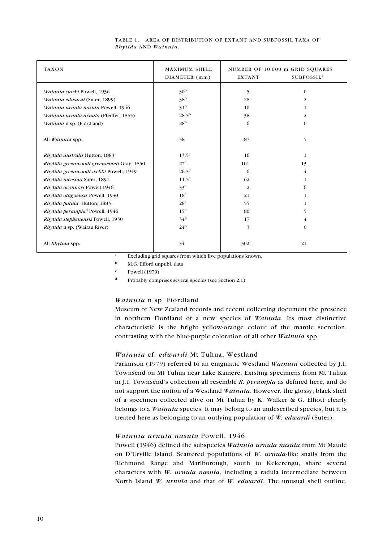| <b>TAXON</b>                               | MAXIMUM SHELL<br>DIAMETER (mm) | NUMBER OF 10 000 m GRID SQUARES<br>SUBFOSSIL <sup>a</sup><br><b>EXTANT</b> |          |
|--------------------------------------------|--------------------------------|----------------------------------------------------------------------------|----------|
| Wainuia clarki Powell, 1936                | 30 <sup>b</sup>                | 5                                                                          | $\theta$ |
| Wainuia edwardi (Suter, 1899)              | 38 <sup>b</sup>                | 28                                                                         | 2        |
| Wainuia urnula nasuta Powell, 1946         | 31 <sup>b</sup>                | 10                                                                         | 1        |
| Wainuia urnula urnula (Pfeiffer, 1855)     | $28.5^{b}$                     | 38                                                                         | 2        |
| Wainuia n.sp. (Fiordland)                  | 28 <sup>b</sup>                | 6                                                                          | $\theta$ |
| All Wainuia spp.                           | 38                             | 87                                                                         | 5        |
| Rhytida australis Hutton, 1883             | $13.5^{\circ}$                 | 16                                                                         | 1        |
| Rhytida greenwoodi greenwoodi Gray, 1850   | 27 <sup>c</sup>                | 101                                                                        | 13       |
| Rhytida greenwoodi webbi Powell, 1949      | $26.5^{\circ}$                 | 6                                                                          | 4        |
| Rhytida meesoni Suter, 1891                | 11.5 <sup>c</sup>              | 62                                                                         | 1        |
| Rhytida oconnori Powell 1946               | 33 <sup>c</sup>                | 2                                                                          | 6        |
| Rhytida otagoensis Powell, 1930            | 18 <sup>c</sup>                | 21                                                                         | 1        |
| Rhytida patula <sup>d</sup> Hutton, 1883   | 28 <sup>c</sup>                | 55                                                                         | 1        |
| Rhytida perampla <sup>d</sup> Powell, 1946 | 15 <sup>c</sup>                | 80                                                                         | 5        |
| Rhytida stephenensis Powell, 1930          | 34 <sup>b</sup>                | 17                                                                         | 4        |
| <i>Rhytida</i> n.sp. (Wairau River)        | 24 <sup>b</sup>                | 3                                                                          | $\theta$ |
| All Rhytida spp.                           | 34                             | 302                                                                        | 21       |

#### TABLE 1. AREA OF DISTRIBUTION OF EXTANT AND SUBFOSSIL TAXA OF Rhytida AND Wainuia.

a. Excluding grid squares from which live populations known.

b. M.G. Efford unpubl. data

c. Powell (1979)

d. Probably comprises several species (see Section 2.1)

#### Wainuia n.sp. Fiordland

Museum of New Zealand records and recent collecting document the presence in northern Fiordland of a new species of Wainuia. Its most distinctive characteristic is the bright yellow-orange colour of the mantle secretion, contrasting with the blue-purple coloration of all other Wainuia spp.

#### Wainuia cf. edwardi Mt Tuhua, Westland

Parkinson (1979) referred to an enigmatic Westland Wainuia collected by J.I. Townsend on Mt Tuhua near Lake Kaniere. Existing specimens from Mt Tuhua in J.I. Townsend's collection all resemble  $R$ . perampla as defined here, and do not support the notion of a Westland Wainuia. However, the glossy, black shell of a specimen collected alive on Mt Tuhua by K. Walker & G. Elliott clearly belongs to a *Wainuia* species. It may belong to an undescribed species, but it is treated here as belonging to an outlying population of W. edwardi (Suter).

#### Wainuia urnula nasuta Powell, 1946

Powell (1946) defined the subspecies Wainuia urnula nasuta from Mt Maude on D'Urville Island. Scattered populations of  $W$ . urnula-like snails from the Richmond Range and Marlborough, south to Kekerengu, share several characters with W. urnula nasuta, including a radula intermediate between North Island W. urnula and that of W. edwardi. The unusual shell outline,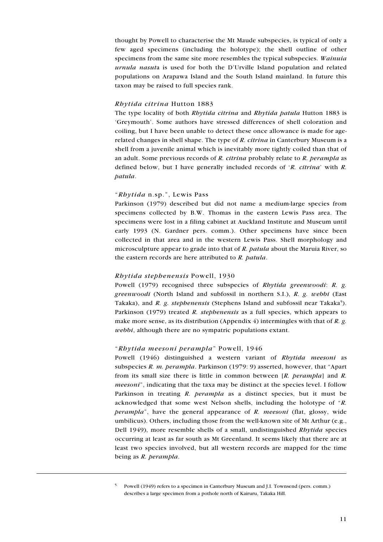thought by Powell to characterise the Mt Maude subspecies, is typical of only a few aged specimens (including the holotype); the shell outline of other specimens from the same site more resembles the typical subspecies. Wainuia urnula nasuta is used for both the D'Urville Island population and related populations on Arapawa Island and the South Island mainland. In future this taxon may be raised to full species rank.

#### Rhytida citrina Hutton 1883

The type locality of both Rhytida citrina and Rhytida patula Hutton 1883 is Greymouth. Some authors have stressed differences of shell coloration and coiling, but I have been unable to detect these once allowance is made for agerelated changes in shell shape. The type of R. citrina in Canterbury Museum is a shell from a juvenile animal which is inevitably more tightly coiled than that of an adult. Some previous records of  $R$ . *citrina* probably relate to  $R$ . *perampla* as defined below, but I have generally included records of  $'R$ . *citrina* with R. patula.

#### "Rhytida n.sp.", Lewis Pass

Parkinson (1979) described but did not name a medium-large species from specimens collected by B.W. Thomas in the eastern Lewis Pass area. The specimens were lost in a filing cabinet at Auckland Institute and Museum until early 1993 (N. Gardner pers. comm.). Other specimens have since been collected in that area and in the western Lewis Pass. Shell morphology and microsculpture appear to grade into that of R. patula about the Maruia River, so the eastern records are here attributed to R. patula.

#### Rhytida stephenensis Powell, 1930

Powell (1979) recognised three subspecies of Rhytida greenwoodi: R. g. greenwoodi (North Island and subfossil in northern S.I.), R. g. webbi (East Takaka), and R. g. stephenensis (Stephens Island and subfossil near Takaka<sup>5</sup>). Parkinson (1979) treated R. stephenensis as a full species, which appears to make more sense, as its distribution (Appendix 4) intermingles with that of R. g. webbi, although there are no sympatric populations extant.

#### "Rhytida meesoni perampla" Powell, 1946

Powell (1946) distinguished a western variant of Rhytida meesoni as subspecies  $R$ . m. perampla. Parkinson (1979: 9) asserted, however, that "Apart" from its small size there is little in common between  $[R.$  *perampla* and  $R$ . *meesoni*", indicating that the taxa may be distinct at the species level. I follow Parkinson in treating R. *perampla* as a distinct species, but it must be acknowledged that some west Nelson shells, including the holotype of "R. perampla<sup>n</sup>, have the general appearance of R. meesoni (flat, glossy, wide umbilicus). Others, including those from the well-known site of Mt Arthur (e.g., Dell 1949), more resemble shells of a small, undistinguished *Rhytida* species occurring at least as far south as Mt Greenland. It seems likely that there are at least two species involved, but all western records are mapped for the time being as R. perampla.

<sup>5.</sup> Powell (1949) refers to a specimen in Canterbury Museum and J.I. Townsend (pers. comm.) describes a large specimen from a pothole north of Kairuru, Takaka Hill.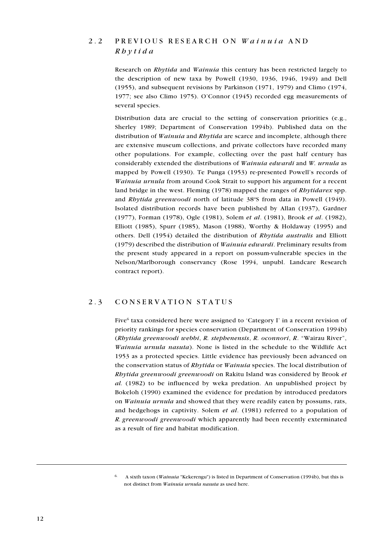### 2.2 PREVIOUS RESEARCH ON Wainuia AND  $Rb$   $\nu$  t i d a

Research on Rhytida and Wainuia this century has been restricted largely to the description of new taxa by Powell (1930, 1936, 1946, 1949) and Dell (1955), and subsequent revisions by Parkinson (1971, 1979) and Climo (1974, 1977; see also Climo 1975). O'Connor  $(1945)$  recorded egg measurements of several species.

Distribution data are crucial to the setting of conservation priorities (e.g., Sherley 1989; Department of Conservation 1994b). Published data on the distribution of Wainuia and Rhytida are scarce and incomplete, although there are extensive museum collections, and private collectors have recorded many other populations. For example, collecting over the past half century has considerably extended the distributions of Wainuia edwardi and W. urnula as mapped by Powell (1930). Te Punga (1953) re-presented Powell's records of Wainuia urnula from around Cook Strait to support his argument for a recent land bridge in the west. Fleming (1978) mapped the ranges of Rhytidarex spp. and Rhytida greenwoodi north of latitude 38°S from data in Powell (1949). Isolated distribution records have been published by Allan (1937), Gardner (1977), Forman (1978), Ogle (1981), Solem et al. (1981), Brook et al. (1982), Elliott (1985), Spurr (1985), Mason (1988), Worthy & Holdaway (1995) and others. Dell (1954) detailed the distribution of Rhytida australis and Elliott (1979) described the distribution of Wainuia edwardi. Preliminary results from the present study appeared in a report on possum-vulnerable species in the Nelson/Marlborough conservancy (Rose 1994, unpubl. Landcare Research contract report).

#### 2.3 CONSERVATION STATUS

Five<sup>6</sup> taxa considered here were assigned to 'Category I' in a recent revision of priority rankings for species conservation (Department of Conservation 1994b) (Rhytida greenwoodi webbi, R. stephenensis, R. oconnori, R. Wairau River, Wainuia urnula nasuta). None is listed in the schedule to the Wildlife Act 1953 as a protected species. Little evidence has previously been advanced on the conservation status of Rhytida or Wainuia species. The local distribution of Rhytida greenwoodi greenwoodi on Rakitu Island was considered by Brook et al. (1982) to be influenced by weka predation. An unpublished project by Bokeloh (1990) examined the evidence for predation by introduced predators on Wainuia urnula and showed that they were readily eaten by possums, rats, and hedgehogs in captivity. Solem et al. (1981) referred to a population of R. greenwoodi greenwoodi which apparently had been recently exterminated as a result of fire and habitat modification.

<sup>6.</sup> A sixth taxon (Wainuia "Kekerengu") is listed in Department of Conservation (1994b), but this is not distinct from Wainuia urnula nasuta as used here.